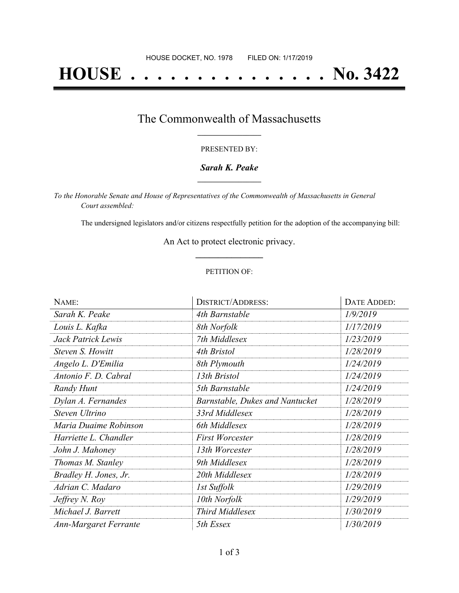# **HOUSE . . . . . . . . . . . . . . . No. 3422**

## The Commonwealth of Massachusetts **\_\_\_\_\_\_\_\_\_\_\_\_\_\_\_\_\_**

### PRESENTED BY:

### *Sarah K. Peake* **\_\_\_\_\_\_\_\_\_\_\_\_\_\_\_\_\_**

*To the Honorable Senate and House of Representatives of the Commonwealth of Massachusetts in General Court assembled:*

The undersigned legislators and/or citizens respectfully petition for the adoption of the accompanying bill:

An Act to protect electronic privacy. **\_\_\_\_\_\_\_\_\_\_\_\_\_\_\_**

### PETITION OF:

| NAME:                        | <b>DISTRICT/ADDRESS:</b>               | DATE ADDED: |
|------------------------------|----------------------------------------|-------------|
| Sarah K. Peake               | 4th Barnstable                         | 1/9/2019    |
| Louis L. Kafka               | 8th Norfolk                            | 1/17/2019   |
| Jack Patrick Lewis           | 7th Middlesex                          | 1/23/2019   |
| Steven S. Howitt             | 4th Bristol                            | 1/28/2019   |
| Angelo L. D'Emilia           | 8th Plymouth                           | 1/24/2019   |
| Antonio F. D. Cabral         | 13th Bristol                           | 1/24/2019   |
| Randy Hunt                   | 5th Barnstable                         | 1/24/2019   |
| Dylan A. Fernandes           | <b>Barnstable, Dukes and Nantucket</b> | 1/28/2019   |
| Steven Ultrino               | 33rd Middlesex                         | 1/28/2019   |
| Maria Duaime Robinson        | 6th Middlesex                          | 1/28/2019   |
| Harriette L. Chandler        | <b>First Worcester</b>                 | 1/28/2019   |
| John J. Mahoney              | 13th Worcester                         | 1/28/2019   |
| Thomas M. Stanley            | 9th Middlesex                          | 1/28/2019   |
| Bradley H. Jones, Jr.        | 20th Middlesex                         | 1/28/2019   |
| Adrian C. Madaro             | 1st Suffolk                            | 1/29/2019   |
| Jeffrey N. Roy               | 10th Norfolk                           | 1/29/2019   |
| Michael J. Barrett           | Third Middlesex                        | 1/30/2019   |
| <b>Ann-Margaret Ferrante</b> | 5th Essex                              | 1/30/2019   |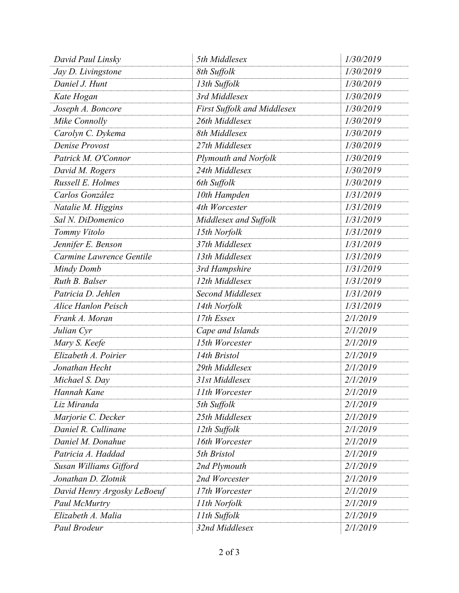| David Paul Linsky           | 5th Middlesex               | 1/30/2019 |
|-----------------------------|-----------------------------|-----------|
| Jay D. Livingstone          | 8th Suffolk                 | 1/30/2019 |
| Daniel J. Hunt              | 13th Suffolk                | 1/30/2019 |
| Kate Hogan                  | 3rd Middlesex               | 1/30/2019 |
| Joseph A. Boncore           | First Suffolk and Middlesex | 1/30/2019 |
| Mike Connolly               | 26th Middlesex              | 1/30/2019 |
| Carolyn C. Dykema           | 8th Middlesex               | 1/30/2019 |
| Denise Provost              | 27th Middlesex              | 1/30/2019 |
| Patrick M. O'Connor         | Plymouth and Norfolk        | 1/30/2019 |
| David M. Rogers             | 24th Middlesex              | 1/30/2019 |
| Russell E. Holmes           | 6th Suffolk                 | 1/30/2019 |
| Carlos González             | 10th Hampden                | 1/31/2019 |
| Natalie M. Higgins          | 4th Worcester               | 1/31/2019 |
| Sal N. DiDomenico           | Middlesex and Suffolk       | 1/31/2019 |
| Tommy Vitolo                | 15th Norfolk                | 1/31/2019 |
| Jennifer E. Benson          | 37th Middlesex              | 1/31/2019 |
| Carmine Lawrence Gentile    | 13th Middlesex              | 1/31/2019 |
| Mindy Domb                  | 3rd Hampshire               | 1/31/2019 |
| Ruth B. Balser              | 12th Middlesex              | 1/31/2019 |
| Patricia D. Jehlen          | Second Middlesex            | 1/31/2019 |
| <b>Alice Hanlon Peisch</b>  | 14th Norfolk                | 1/31/2019 |
| Frank A. Moran              | 17th Essex                  | 2/1/2019  |
| Julian Cyr                  | Cape and Islands            | 2/1/2019  |
| Mary S. Keefe               | 15th Worcester              | 2/1/2019  |
| Elizabeth A. Poirier        | 14th Bristol                | 2/1/2019  |
| Jonathan Hecht              | 29th Middlesex              | 2/1/2019  |
| Michael S. Day              | 31st Middlesex              | 2/1/2019  |
| Hannah Kane                 | 11th Worcester              | 2/1/2019  |
| Liz Miranda                 | 5th Suffolk                 | 2/1/2019  |
| Marjorie C. Decker          | 25th Middlesex              | 2/1/2019  |
| Daniel R. Cullinane         | 12th Suffolk                | 2/1/2019  |
| Daniel M. Donahue           | 16th Worcester              | 2/1/2019  |
| Patricia A. Haddad          | 5th Bristol                 | 2/1/2019  |
| Susan Williams Gifford      | 2nd Plymouth                | 2/1/2019  |
| Jonathan D. Zlotnik         | 2nd Worcester               | 2/1/2019  |
| David Henry Argosky LeBoeuf | 17th Worcester              | 2/1/2019  |
| Paul McMurtry               | 11th Norfolk                | 2/1/2019  |
| Elizabeth A. Malia          | 11th Suffolk                | 2/1/2019  |
| Paul Brodeur                | 32nd Middlesex              | 2/1/2019  |
|                             |                             |           |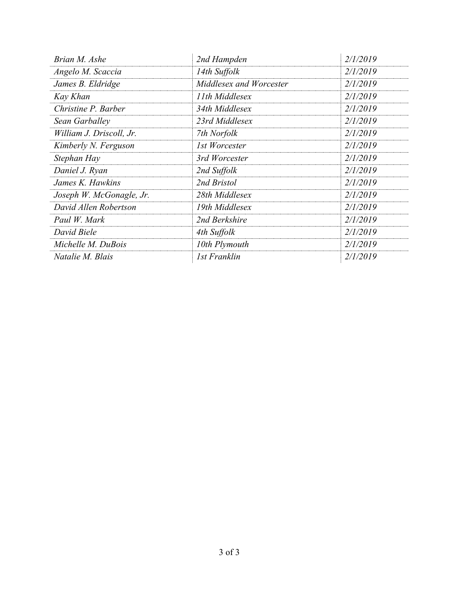| Brian M. Ashe            | 2nd Hampden             | 2/1/2019 |
|--------------------------|-------------------------|----------|
| Angelo M. Scaccia        | 14th Suffolk            | 2/1/2019 |
| James B. Eldridge        | Middlesex and Worcester | 2/1/2019 |
| Kay Khan                 | 11th Middlesex          | 2/1/2019 |
| Christine P. Barber      | 34th Middlesex          | 2/1/2019 |
| Sean Garballey           | 23rd Middlesex          | 2/1/2019 |
| William J. Driscoll, Jr. | 7th Norfolk             | 2/1/2019 |
| Kimberly N. Ferguson     | 1st Worcester           | 2/1/2019 |
| Stephan Hay              | 3rd Worcester           | 2/1/2019 |
| Daniel J. Ryan           | 2nd Suffolk             | 2/1/2019 |
| James K. Hawkins         | 2nd Bristol             | 2/1/2019 |
| Joseph W. McGonagle, Jr. | 28th Middlesex          | 2/1/2019 |
| David Allen Robertson    | 19th Middlesex          | 2/1/2019 |
| Paul W. Mark             | 2nd Berkshire           | 2/1/2019 |
| David Biele              | 4th Suffolk             | 2/1/2019 |
| Michelle M. DuBois       | 10th Plymouth           | 2/1/2019 |
| Natalie M. Blais         | 1st Franklin            | 2/1/2019 |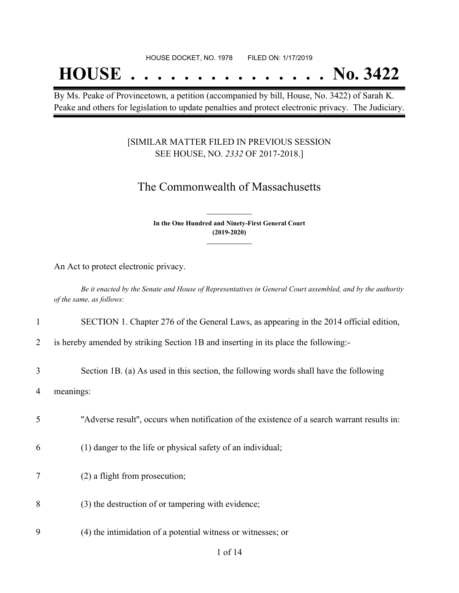## **HOUSE . . . . . . . . . . . . . . . No. 3422**

By Ms. Peake of Provincetown, a petition (accompanied by bill, House, No. 3422) of Sarah K. Peake and others for legislation to update penalties and protect electronic privacy. The Judiciary.

### [SIMILAR MATTER FILED IN PREVIOUS SESSION SEE HOUSE, NO. *2332* OF 2017-2018.]

## The Commonwealth of Massachusetts

**In the One Hundred and Ninety-First General Court (2019-2020) \_\_\_\_\_\_\_\_\_\_\_\_\_\_\_**

**\_\_\_\_\_\_\_\_\_\_\_\_\_\_\_**

An Act to protect electronic privacy.

Be it enacted by the Senate and House of Representatives in General Court assembled, and by the authority *of the same, as follows:*

### 1 SECTION 1. Chapter 276 of the General Laws, as appearing in the 2014 official edition,

2 is hereby amended by striking Section 1B and inserting in its place the following:-

3 Section 1B. (a) As used in this section, the following words shall have the following

4 meanings:

- 5 ''Adverse result'', occurs when notification of the existence of a search warrant results in:
- 6 (1) danger to the life or physical safety of an individual;
- 7 (2) a flight from prosecution;
- 8 (3) the destruction of or tampering with evidence;
- 9 (4) the intimidation of a potential witness or witnesses; or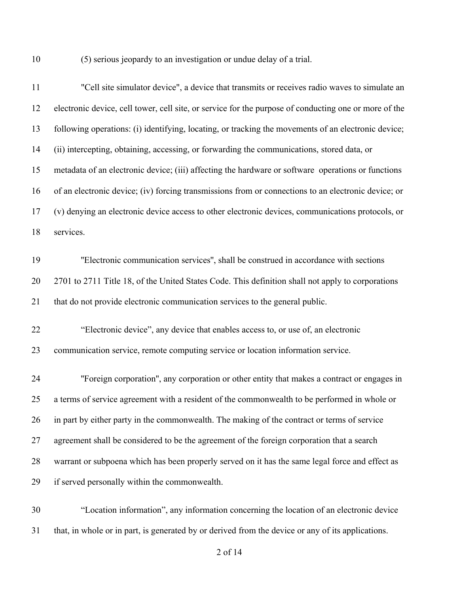(5) serious jeopardy to an investigation or undue delay of a trial.

| 11 | "Cell site simulator device", a device that transmits or receives radio waves to simulate an          |
|----|-------------------------------------------------------------------------------------------------------|
| 12 | electronic device, cell tower, cell site, or service for the purpose of conducting one or more of the |
| 13 | following operations: (i) identifying, locating, or tracking the movements of an electronic device;   |
| 14 | (ii) intercepting, obtaining, accessing, or forwarding the communications, stored data, or            |
| 15 | metadata of an electronic device; (iii) affecting the hardware or software operations or functions    |
| 16 | of an electronic device; (iv) forcing transmissions from or connections to an electronic device; or   |
| 17 | (v) denying an electronic device access to other electronic devices, communications protocols, or     |
| 18 | services.                                                                                             |
| 19 | "Electronic communication services", shall be construed in accordance with sections                   |
| 20 | 2701 to 2711 Title 18, of the United States Code. This definition shall not apply to corporations     |
| 21 | that do not provide electronic communication services to the general public.                          |
| 22 | "Electronic device", any device that enables access to, or use of, an electronic                      |
| 23 | communication service, remote computing service or location information service.                      |
| 24 | "Foreign corporation", any corporation or other entity that makes a contract or engages in            |
| 25 | a terms of service agreement with a resident of the commonwealth to be performed in whole or          |
| 26 | in part by either party in the commonwealth. The making of the contract or terms of service           |
| 27 | agreement shall be considered to be the agreement of the foreign corporation that a search            |
| 28 | warrant or subpoena which has been properly served on it has the same legal force and effect as       |
| 29 | if served personally within the commonwealth.                                                         |
| 30 | "Location information", any information concerning the location of an electronic device               |

that, in whole or in part, is generated by or derived from the device or any of its applications.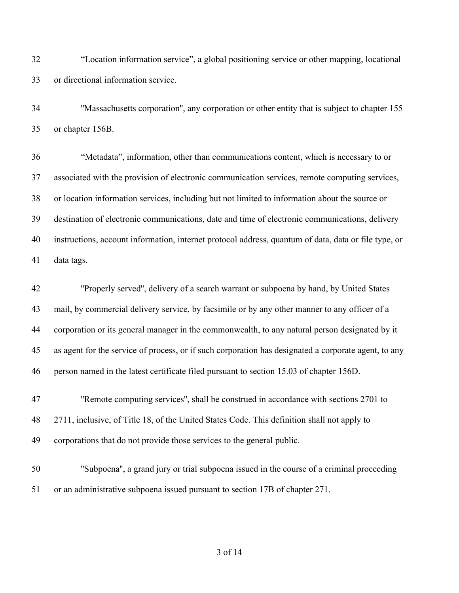"Location information service", a global positioning service or other mapping, locational or directional information service.

 ''Massachusetts corporation'', any corporation or other entity that is subject to chapter 155 or chapter 156B.

 "Metadata", information, other than communications content, which is necessary to or associated with the provision of electronic communication services, remote computing services, or location information services, including but not limited to information about the source or destination of electronic communications, date and time of electronic communications, delivery instructions, account information, internet protocol address, quantum of data, data or file type, or data tags.

 ''Properly served'', delivery of a search warrant or subpoena by hand, by United States mail, by commercial delivery service, by facsimile or by any other manner to any officer of a corporation or its general manager in the commonwealth, to any natural person designated by it as agent for the service of process, or if such corporation has designated a corporate agent, to any person named in the latest certificate filed pursuant to section 15.03 of chapter 156D.

47 "Remote computing services", shall be construed in accordance with sections 2701 to 2711, inclusive, of Title 18, of the United States Code. This definition shall not apply to corporations that do not provide those services to the general public.

 ''Subpoena'', a grand jury or trial subpoena issued in the course of a criminal proceeding or an administrative subpoena issued pursuant to section 17B of chapter 271.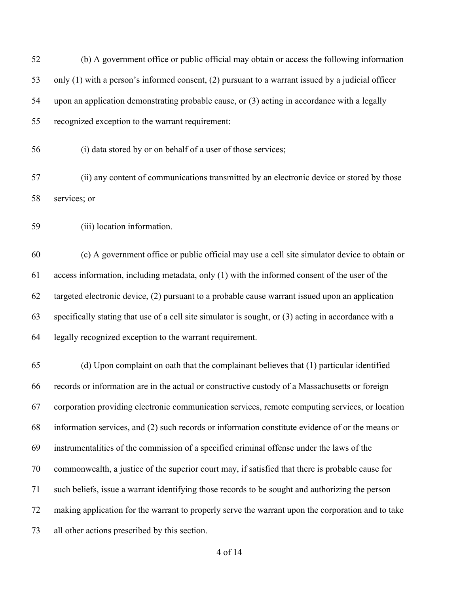| 52 | (b) A government office or public official may obtain or access the following information             |
|----|-------------------------------------------------------------------------------------------------------|
| 53 | only $(1)$ with a person's informed consent, $(2)$ pursuant to a warrant issued by a judicial officer |
| 54 | upon an application demonstrating probable cause, or (3) acting in accordance with a legally          |
| 55 | recognized exception to the warrant requirement:                                                      |
| 56 | (i) data stored by or on behalf of a user of those services;                                          |
| 57 | (ii) any content of communications transmitted by an electronic device or stored by those             |
| 58 | services; or                                                                                          |
| 59 | (iii) location information.                                                                           |
| 60 | (c) A government office or public official may use a cell site simulator device to obtain or          |
| 61 | access information, including metadata, only (1) with the informed consent of the user of the         |
| 62 | targeted electronic device, (2) pursuant to a probable cause warrant issued upon an application       |
| 63 | specifically stating that use of a cell site simulator is sought, or (3) acting in accordance with a  |
| 64 | legally recognized exception to the warrant requirement.                                              |
| 65 | (d) Upon complaint on oath that the complainant believes that (1) particular identified               |
| 66 | records or information are in the actual or constructive custody of a Massachusetts or foreign        |
| 67 | corporation providing electronic communication services, remote computing services, or location       |
| 68 | information services, and (2) such records or information constitute evidence of or the means or      |
| 69 | instrumentalities of the commission of a specified criminal offense under the laws of the             |
| 70 | commonwealth, a justice of the superior court may, if satisfied that there is probable cause for      |
| 71 | such beliefs, issue a warrant identifying those records to be sought and authorizing the person       |
| 72 | making application for the warrant to properly serve the warrant upon the corporation and to take     |
| 73 | all other actions prescribed by this section.                                                         |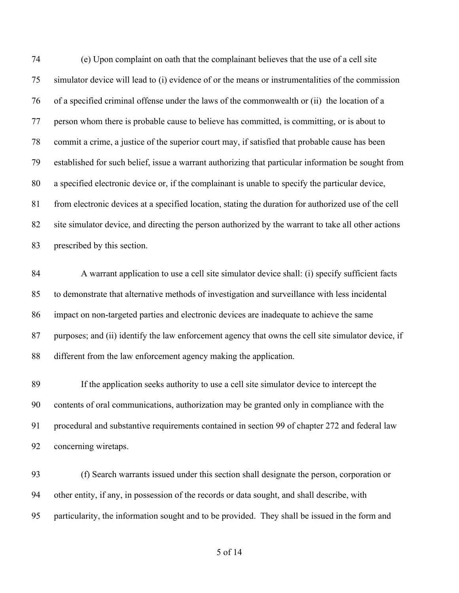(e) Upon complaint on oath that the complainant believes that the use of a cell site simulator device will lead to (i) evidence of or the means or instrumentalities of the commission of a specified criminal offense under the laws of the commonwealth or (ii) the location of a person whom there is probable cause to believe has committed, is committing, or is about to commit a crime, a justice of the superior court may, if satisfied that probable cause has been established for such belief, issue a warrant authorizing that particular information be sought from a specified electronic device or, if the complainant is unable to specify the particular device, from electronic devices at a specified location, stating the duration for authorized use of the cell site simulator device, and directing the person authorized by the warrant to take all other actions prescribed by this section.

 A warrant application to use a cell site simulator device shall: (i) specify sufficient facts to demonstrate that alternative methods of investigation and surveillance with less incidental impact on non-targeted parties and electronic devices are inadequate to achieve the same purposes; and (ii) identify the law enforcement agency that owns the cell site simulator device, if different from the law enforcement agency making the application.

 If the application seeks authority to use a cell site simulator device to intercept the contents of oral communications, authorization may be granted only in compliance with the procedural and substantive requirements contained in section 99 of chapter 272 and federal law concerning wiretaps.

 (f) Search warrants issued under this section shall designate the person, corporation or other entity, if any, in possession of the records or data sought, and shall describe, with particularity, the information sought and to be provided. They shall be issued in the form and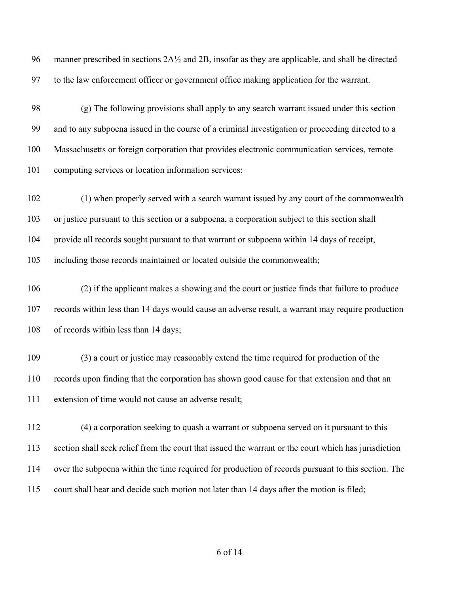96 manner prescribed in sections  $2A\frac{1}{2}$  and  $2B$ , insofar as they are applicable, and shall be directed to the law enforcement officer or government office making application for the warrant.

 (g) The following provisions shall apply to any search warrant issued under this section and to any subpoena issued in the course of a criminal investigation or proceeding directed to a Massachusetts or foreign corporation that provides electronic communication services, remote computing services or location information services:

 (1) when properly served with a search warrant issued by any court of the commonwealth or justice pursuant to this section or a subpoena, a corporation subject to this section shall provide all records sought pursuant to that warrant or subpoena within 14 days of receipt, including those records maintained or located outside the commonwealth;

 (2) if the applicant makes a showing and the court or justice finds that failure to produce records within less than 14 days would cause an adverse result, a warrant may require production of records within less than 14 days;

 (3) a court or justice may reasonably extend the time required for production of the records upon finding that the corporation has shown good cause for that extension and that an extension of time would not cause an adverse result;

 (4) a corporation seeking to quash a warrant or subpoena served on it pursuant to this section shall seek relief from the court that issued the warrant or the court which has jurisdiction over the subpoena within the time required for production of records pursuant to this section. The court shall hear and decide such motion not later than 14 days after the motion is filed;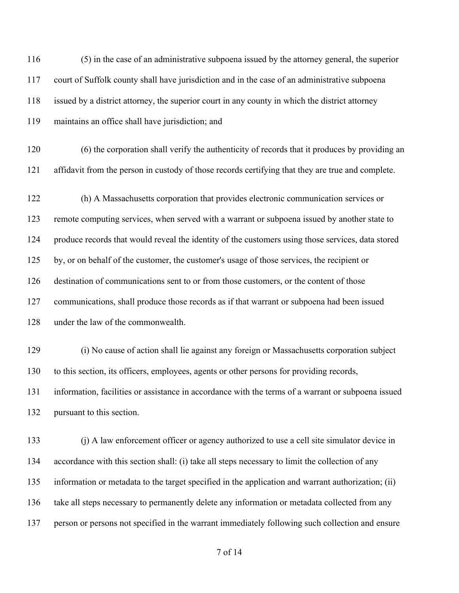(5) in the case of an administrative subpoena issued by the attorney general, the superior court of Suffolk county shall have jurisdiction and in the case of an administrative subpoena issued by a district attorney, the superior court in any county in which the district attorney maintains an office shall have jurisdiction; and

 (6) the corporation shall verify the authenticity of records that it produces by providing an affidavit from the person in custody of those records certifying that they are true and complete.

 (h) A Massachusetts corporation that provides electronic communication services or remote computing services, when served with a warrant or subpoena issued by another state to produce records that would reveal the identity of the customers using those services, data stored by, or on behalf of the customer, the customer's usage of those services, the recipient or destination of communications sent to or from those customers, or the content of those communications, shall produce those records as if that warrant or subpoena had been issued under the law of the commonwealth.

 (i) No cause of action shall lie against any foreign or Massachusetts corporation subject to this section, its officers, employees, agents or other persons for providing records, information, facilities or assistance in accordance with the terms of a warrant or subpoena issued pursuant to this section.

 (j) A law enforcement officer or agency authorized to use a cell site simulator device in accordance with this section shall: (i) take all steps necessary to limit the collection of any information or metadata to the target specified in the application and warrant authorization; (ii) take all steps necessary to permanently delete any information or metadata collected from any person or persons not specified in the warrant immediately following such collection and ensure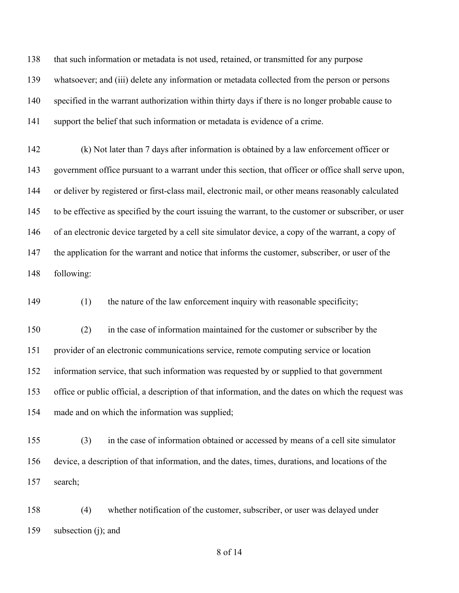that such information or metadata is not used, retained, or transmitted for any purpose whatsoever; and (iii) delete any information or metadata collected from the person or persons specified in the warrant authorization within thirty days if there is no longer probable cause to support the belief that such information or metadata is evidence of a crime.

 (k) Not later than 7 days after information is obtained by a law enforcement officer or government office pursuant to a warrant under this section, that officer or office shall serve upon, or deliver by registered or first-class mail, electronic mail, or other means reasonably calculated to be effective as specified by the court issuing the warrant, to the customer or subscriber, or user of an electronic device targeted by a cell site simulator device, a copy of the warrant, a copy of 147 the application for the warrant and notice that informs the customer, subscriber, or user of the following:

(1) the nature of the law enforcement inquiry with reasonable specificity;

 (2) in the case of information maintained for the customer or subscriber by the provider of an electronic communications service, remote computing service or location information service, that such information was requested by or supplied to that government office or public official, a description of that information, and the dates on which the request was made and on which the information was supplied;

 (3) in the case of information obtained or accessed by means of a cell site simulator device, a description of that information, and the dates, times, durations, and locations of the search;

 (4) whether notification of the customer, subscriber, or user was delayed under subsection (j); and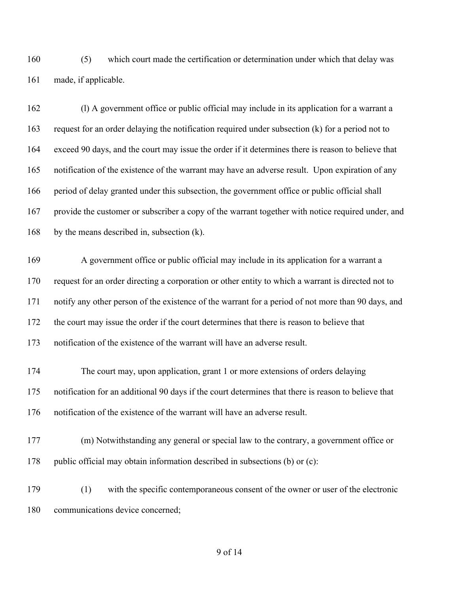(5) which court made the certification or determination under which that delay was made, if applicable.

 (l) A government office or public official may include in its application for a warrant a request for an order delaying the notification required under subsection (k) for a period not to exceed 90 days, and the court may issue the order if it determines there is reason to believe that notification of the existence of the warrant may have an adverse result. Upon expiration of any period of delay granted under this subsection, the government office or public official shall provide the customer or subscriber a copy of the warrant together with notice required under, and by the means described in, subsection (k).

 A government office or public official may include in its application for a warrant a request for an order directing a corporation or other entity to which a warrant is directed not to notify any other person of the existence of the warrant for a period of not more than 90 days, and the court may issue the order if the court determines that there is reason to believe that notification of the existence of the warrant will have an adverse result.

 The court may, upon application, grant 1 or more extensions of orders delaying notification for an additional 90 days if the court determines that there is reason to believe that notification of the existence of the warrant will have an adverse result.

 (m) Notwithstanding any general or special law to the contrary, a government office or public official may obtain information described in subsections (b) or (c):

 (1) with the specific contemporaneous consent of the owner or user of the electronic communications device concerned;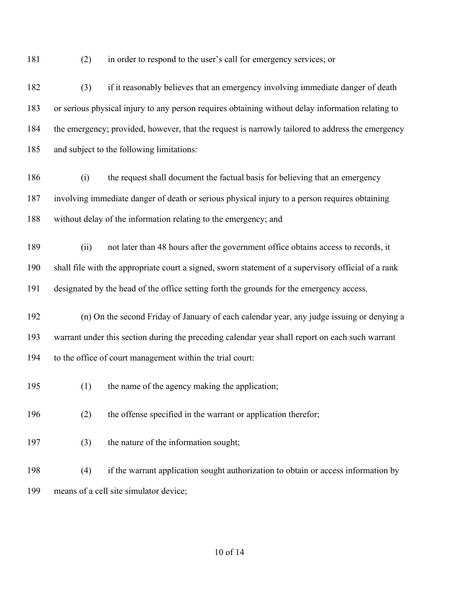- 
- (2) in order to respond to the user's call for emergency services; or

 (3) if it reasonably believes that an emergency involving immediate danger of death or serious physical injury to any person requires obtaining without delay information relating to the emergency; provided, however, that the request is narrowly tailored to address the emergency and subject to the following limitations:

- (i) the request shall document the factual basis for believing that an emergency involving immediate danger of death or serious physical injury to a person requires obtaining without delay of the information relating to the emergency; and
- (ii) not later than 48 hours after the government office obtains access to records, it shall file with the appropriate court a signed, sworn statement of a supervisory official of a rank designated by the head of the office setting forth the grounds for the emergency access.
- (n) On the second Friday of January of each calendar year, any judge issuing or denying a warrant under this section during the preceding calendar year shall report on each such warrant to the office of court management within the trial court:
- (1) the name of the agency making the application;
- (2) the offense specified in the warrant or application therefor;
- (3) the nature of the information sought;
- (4) if the warrant application sought authorization to obtain or access information by means of a cell site simulator device;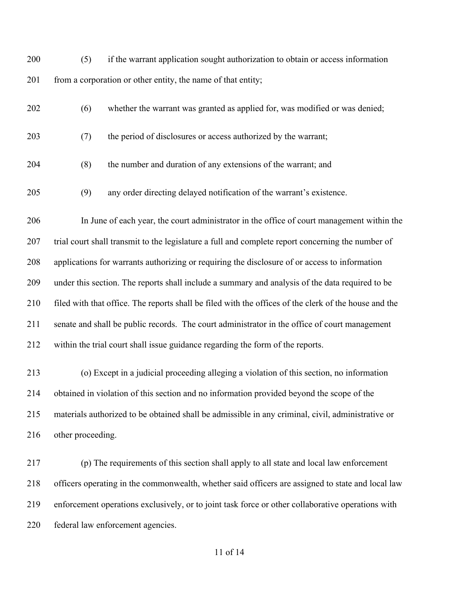(5) if the warrant application sought authorization to obtain or access information 201 from a corporation or other entity, the name of that entity;

- (6) whether the warrant was granted as applied for, was modified or was denied;
- (7) the period of disclosures or access authorized by the warrant;
- (8) the number and duration of any extensions of the warrant; and
- (9) any order directing delayed notification of the warrant's existence.

 In June of each year, the court administrator in the office of court management within the trial court shall transmit to the legislature a full and complete report concerning the number of applications for warrants authorizing or requiring the disclosure of or access to information under this section. The reports shall include a summary and analysis of the data required to be filed with that office. The reports shall be filed with the offices of the clerk of the house and the senate and shall be public records. The court administrator in the office of court management within the trial court shall issue guidance regarding the form of the reports.

 (o) Except in a judicial proceeding alleging a violation of this section, no information obtained in violation of this section and no information provided beyond the scope of the materials authorized to be obtained shall be admissible in any criminal, civil, administrative or other proceeding.

 (p) The requirements of this section shall apply to all state and local law enforcement officers operating in the commonwealth, whether said officers are assigned to state and local law enforcement operations exclusively, or to joint task force or other collaborative operations with federal law enforcement agencies.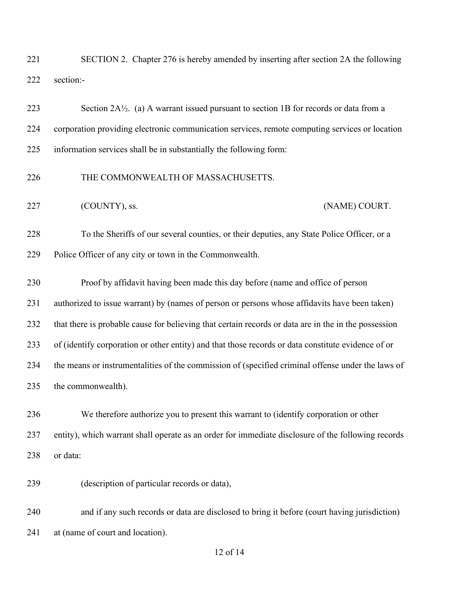| 221 | SECTION 2. Chapter 276 is hereby amended by inserting after section 2A the following |
|-----|--------------------------------------------------------------------------------------|
|     | 222 section:-                                                                        |

| 223 | Section $2A\frac{1}{2}$ . (a) A warrant issued pursuant to section 1B for records or data from a |
|-----|--------------------------------------------------------------------------------------------------|
| 224 | corporation providing electronic communication services, remote computing services or location   |
| 225 | information services shall be in substantially the following form:                               |
| 226 | THE COMMONWEALTH OF MASSACHUSETTS.                                                               |

227 (COUNTY), ss. (NAME) COURT.

 To the Sheriffs of our several counties, or their deputies, any State Police Officer, or a Police Officer of any city or town in the Commonwealth.

 Proof by affidavit having been made this day before (name and office of person authorized to issue warrant) by (names of person or persons whose affidavits have been taken) that there is probable cause for believing that certain records or data are in the in the possession of (identify corporation or other entity) and that those records or data constitute evidence of or the means or instrumentalities of the commission of (specified criminal offense under the laws of the commonwealth).

 We therefore authorize you to present this warrant to (identify corporation or other entity), which warrant shall operate as an order for immediate disclosure of the following records or data:

(description of particular records or data),

 and if any such records or data are disclosed to bring it before (court having jurisdiction) at (name of court and location).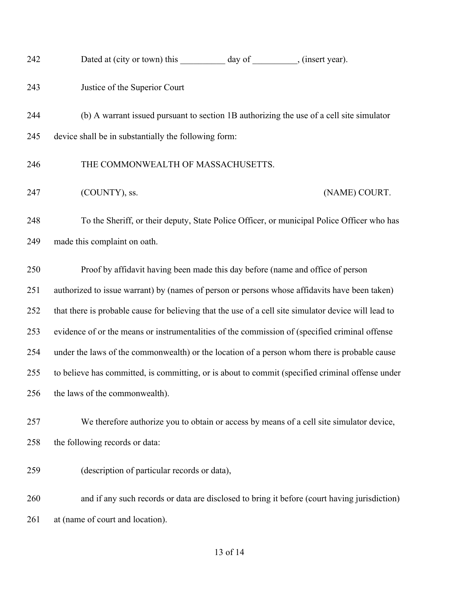| 242 | Dated at (city or town) this day of<br>, (insert year).                                              |
|-----|------------------------------------------------------------------------------------------------------|
| 243 | Justice of the Superior Court                                                                        |
| 244 | (b) A warrant issued pursuant to section 1B authorizing the use of a cell site simulator             |
| 245 | device shall be in substantially the following form:                                                 |
| 246 | THE COMMONWEALTH OF MASSACHUSETTS.                                                                   |
| 247 | (COUNTY), ss.<br>(NAME) COURT.                                                                       |
| 248 | To the Sheriff, or their deputy, State Police Officer, or municipal Police Officer who has           |
| 249 | made this complaint on oath.                                                                         |
| 250 | Proof by affidavit having been made this day before (name and office of person                       |
| 251 | authorized to issue warrant) by (names of person or persons whose affidavits have been taken)        |
| 252 | that there is probable cause for believing that the use of a cell site simulator device will lead to |
| 253 | evidence of or the means or instrumentalities of the commission of (specified criminal offense       |
| 254 | under the laws of the commonwealth) or the location of a person whom there is probable cause         |
| 255 | to believe has committed, is committing, or is about to commit (specified criminal offense under     |
| 256 | the laws of the commonwealth).                                                                       |
| 257 | We therefore authorize you to obtain or access by means of a cell site simulator device,             |
| 258 | the following records or data:                                                                       |
| 259 | (description of particular records or data),                                                         |
| 260 | and if any such records or data are disclosed to bring it before (court having jurisdiction)         |
| 261 | at (name of court and location).                                                                     |